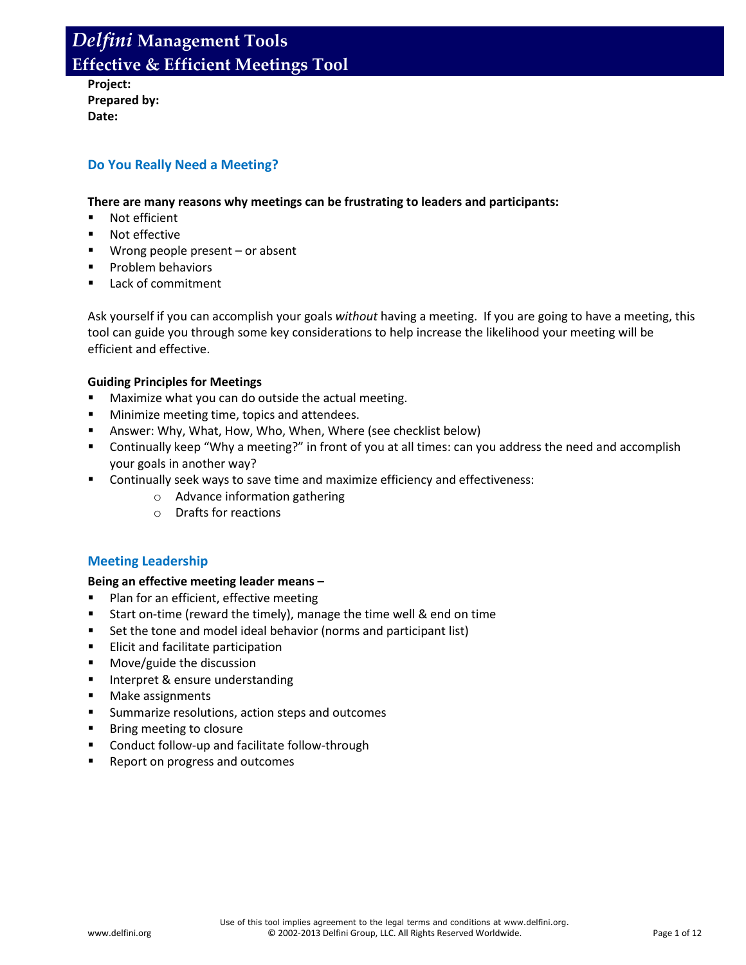**Project: Prepared by: Date:**

## **Do You Really Need a Meeting?**

#### **There are many reasons why meetings can be frustrating to leaders and participants:**

- Not efficient
- **Not effective**
- Wrong people present or absent
- **Problem behaviors**
- **Lack of commitment**

Ask yourself if you can accomplish your goals *without* having a meeting. If you are going to have a meeting, this tool can guide you through some key considerations to help increase the likelihood your meeting will be efficient and effective.

#### **Guiding Principles for Meetings**

- Maximize what you can do outside the actual meeting.
- **Minimize meeting time, topics and attendees.**
- Answer: Why, What, How, Who, When, Where (see checklist below)
- Continually keep "Why a meeting?" in front of you at all times: can you address the need and accomplish your goals in another way?
- **EXECONTIMIM** Continually seek ways to save time and maximize efficiency and effectiveness:
	- o Advance information gathering
	- o Drafts for reactions

#### **Meeting Leadership**

#### **Being an effective meeting leader means –**

- **Plan for an efficient, effective meeting**
- Start on-time (reward the timely), manage the time well & end on time
- Set the tone and model ideal behavior (norms and participant list)
- Elicit and facilitate participation
- **Move/guide the discussion**
- **Interpret & ensure understanding**
- **Make assignments**
- **Summarize resolutions, action steps and outcomes**
- **Bring meeting to closure**
- Conduct follow-up and facilitate follow-through
- **Report on progress and outcomes**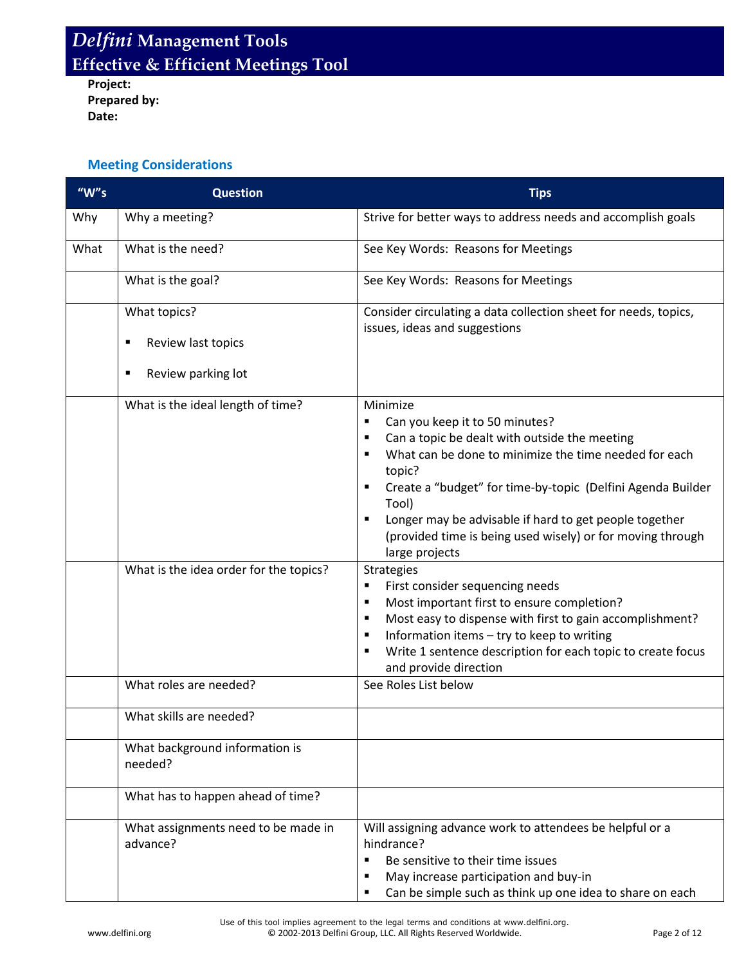**Project: Prepared by: Date:**

## **Meeting Considerations**

| " $W$ "s | <b>Question</b>                                                    | <b>Tips</b>                                                                                                                                                                                                                                                                                                                                                                                          |  |
|----------|--------------------------------------------------------------------|------------------------------------------------------------------------------------------------------------------------------------------------------------------------------------------------------------------------------------------------------------------------------------------------------------------------------------------------------------------------------------------------------|--|
| Why      | Why a meeting?                                                     | Strive for better ways to address needs and accomplish goals                                                                                                                                                                                                                                                                                                                                         |  |
| What     | What is the need?                                                  | See Key Words: Reasons for Meetings                                                                                                                                                                                                                                                                                                                                                                  |  |
|          | What is the goal?                                                  | See Key Words: Reasons for Meetings                                                                                                                                                                                                                                                                                                                                                                  |  |
|          | What topics?<br>Review last topics<br>п<br>Review parking lot<br>п | Consider circulating a data collection sheet for needs, topics,<br>issues, ideas and suggestions                                                                                                                                                                                                                                                                                                     |  |
|          | What is the ideal length of time?                                  | Minimize<br>Can you keep it to 50 minutes?<br>٠<br>Can a topic be dealt with outside the meeting<br>٠<br>What can be done to minimize the time needed for each<br>topic?<br>Create a "budget" for time-by-topic (Delfini Agenda Builder<br>٠<br>Tool)<br>Longer may be advisable if hard to get people together<br>٠<br>(provided time is being used wisely) or for moving through<br>large projects |  |
|          | What is the idea order for the topics?                             | <b>Strategies</b><br>First consider sequencing needs<br>٠<br>Most important first to ensure completion?<br>٠<br>Most easy to dispense with first to gain accomplishment?<br>٠<br>Information items - try to keep to writing<br>٠<br>Write 1 sentence description for each topic to create focus<br>٠<br>and provide direction                                                                        |  |
|          | What roles are needed?                                             | See Roles List below                                                                                                                                                                                                                                                                                                                                                                                 |  |
|          | What skills are needed?                                            |                                                                                                                                                                                                                                                                                                                                                                                                      |  |
|          | What background information is<br>needed?                          |                                                                                                                                                                                                                                                                                                                                                                                                      |  |
|          | What has to happen ahead of time?                                  |                                                                                                                                                                                                                                                                                                                                                                                                      |  |
|          | What assignments need to be made in<br>advance?                    | Will assigning advance work to attendees be helpful or a<br>hindrance?<br>Be sensitive to their time issues<br>٠<br>May increase participation and buy-in<br>٠<br>Can be simple such as think up one idea to share on each                                                                                                                                                                           |  |

Use of this tool implies agreement to the legal terms and conditions at www.delfini.org. www.delfini.org entitled as a control of 2002-2013 Delfini Group, LLC. All Rights Reserved Worldwide.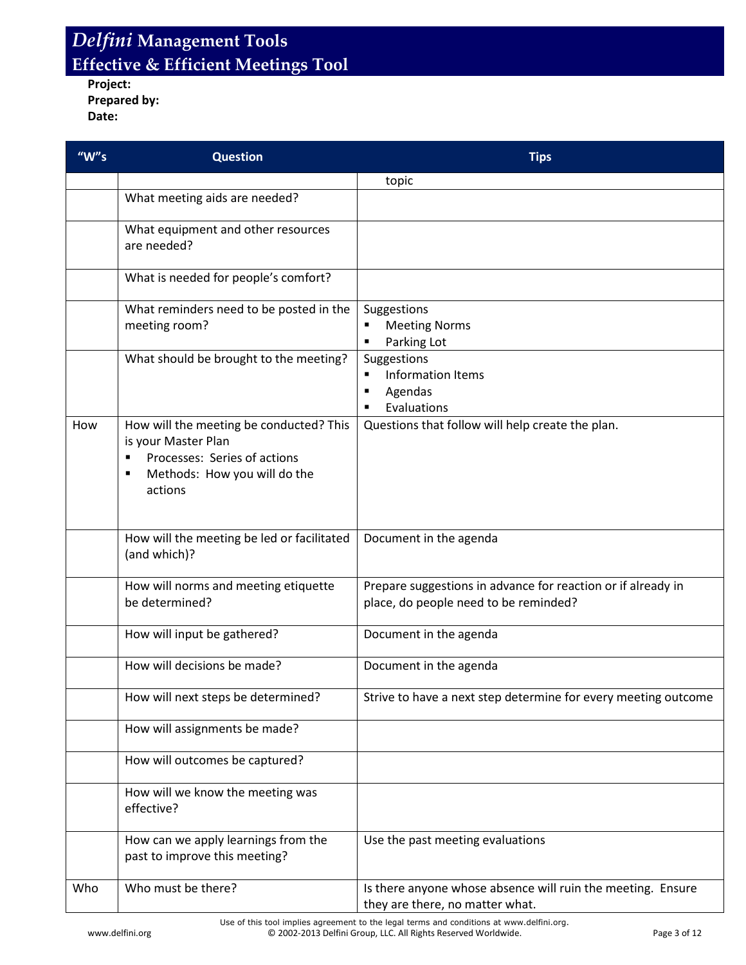**Project: Prepared by: Date:**

| " $W$ "s | <b>Question</b>                                                                                                                           | <b>Tips</b>                                                                                           |  |  |
|----------|-------------------------------------------------------------------------------------------------------------------------------------------|-------------------------------------------------------------------------------------------------------|--|--|
|          |                                                                                                                                           | topic                                                                                                 |  |  |
|          | What meeting aids are needed?                                                                                                             |                                                                                                       |  |  |
|          | What equipment and other resources<br>are needed?                                                                                         |                                                                                                       |  |  |
|          | What is needed for people's comfort?                                                                                                      |                                                                                                       |  |  |
|          | What reminders need to be posted in the<br>meeting room?                                                                                  | Suggestions<br><b>Meeting Norms</b><br>Parking Lot                                                    |  |  |
|          | What should be brought to the meeting?                                                                                                    | Suggestions<br><b>Information Items</b><br>٠<br>Agendas<br>٠<br>Evaluations<br>٠                      |  |  |
| How      | How will the meeting be conducted? This<br>is your Master Plan<br>Processes: Series of actions<br>Methods: How you will do the<br>actions | Questions that follow will help create the plan.                                                      |  |  |
|          | How will the meeting be led or facilitated<br>(and which)?                                                                                | Document in the agenda                                                                                |  |  |
|          | How will norms and meeting etiquette<br>be determined?                                                                                    | Prepare suggestions in advance for reaction or if already in<br>place, do people need to be reminded? |  |  |
|          | How will input be gathered?                                                                                                               | Document in the agenda                                                                                |  |  |
|          | How will decisions be made?                                                                                                               | Document in the agenda                                                                                |  |  |
|          | How will next steps be determined?                                                                                                        | Strive to have a next step determine for every meeting outcome                                        |  |  |
|          | How will assignments be made?                                                                                                             |                                                                                                       |  |  |
|          | How will outcomes be captured?                                                                                                            |                                                                                                       |  |  |
|          | How will we know the meeting was<br>effective?                                                                                            |                                                                                                       |  |  |
|          | How can we apply learnings from the<br>past to improve this meeting?                                                                      | Use the past meeting evaluations                                                                      |  |  |
| Who      | Who must be there?                                                                                                                        | Is there anyone whose absence will ruin the meeting. Ensure<br>they are there, no matter what.        |  |  |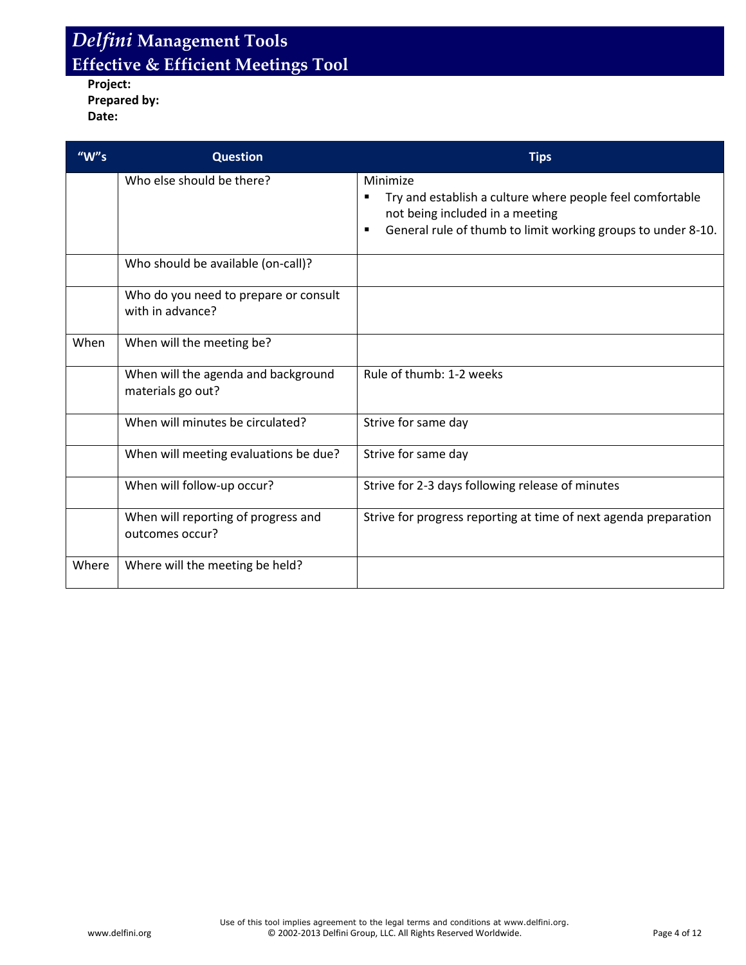**Project: Prepared by: Date:**

| " $W's$ | <b>Question</b>                                           | <b>Tips</b>                                                                                                                                                                   |
|---------|-----------------------------------------------------------|-------------------------------------------------------------------------------------------------------------------------------------------------------------------------------|
|         | Who else should be there?                                 | Minimize<br>Try and establish a culture where people feel comfortable<br>not being included in a meeting<br>General rule of thumb to limit working groups to under 8-10.<br>٠ |
|         | Who should be available (on-call)?                        |                                                                                                                                                                               |
|         | Who do you need to prepare or consult<br>with in advance? |                                                                                                                                                                               |
| When    | When will the meeting be?                                 |                                                                                                                                                                               |
|         | When will the agenda and background<br>materials go out?  | Rule of thumb: 1-2 weeks                                                                                                                                                      |
|         | When will minutes be circulated?                          | Strive for same day                                                                                                                                                           |
|         | When will meeting evaluations be due?                     | Strive for same day                                                                                                                                                           |
|         | When will follow-up occur?                                | Strive for 2-3 days following release of minutes                                                                                                                              |
|         | When will reporting of progress and<br>outcomes occur?    | Strive for progress reporting at time of next agenda preparation                                                                                                              |
| Where   | Where will the meeting be held?                           |                                                                                                                                                                               |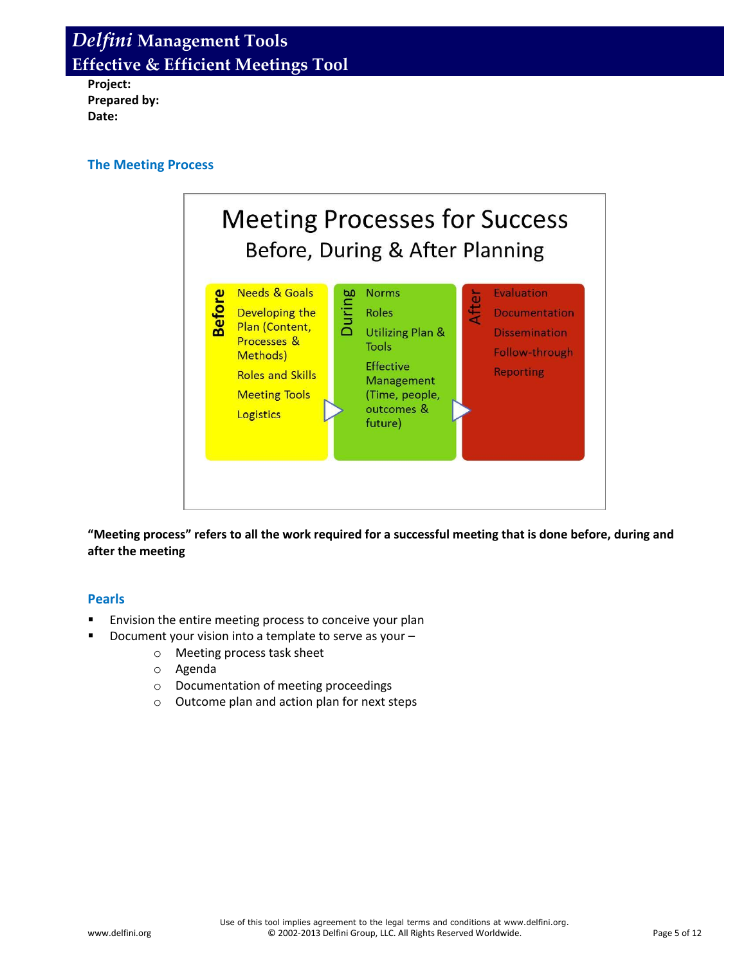**Project: Prepared by: Date:**

### **The Meeting Process**



**"Meeting process" refers to all the work required for a successful meeting that is done before, during and after the meeting**

#### **Pearls**

- Envision the entire meeting process to conceive your plan
	- Document your vision into a template to serve as your
		- o Meeting process task sheet
		- o Agenda
		- o Documentation of meeting proceedings
		- o Outcome plan and action plan for next steps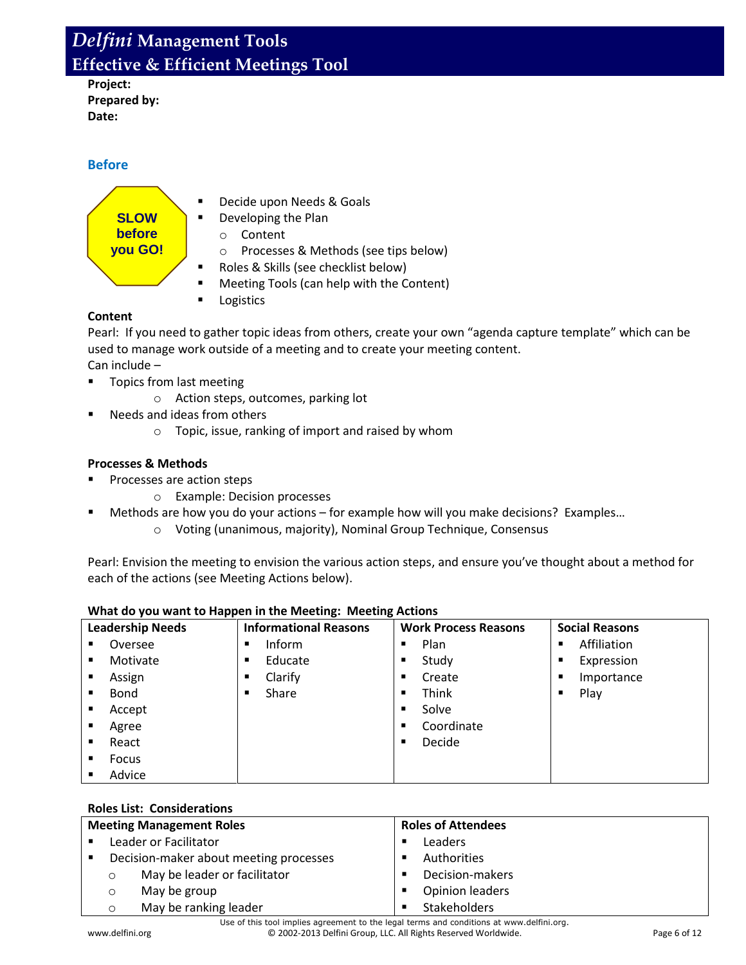**Project: Prepared by: Date:**

## **Before**



- Decide upon Needs & Goals
- Developing the Plan
	- o Content
	- o Processes & Methods (see tips below)
- Roles & Skills (see checklist below)
- **Meeting Tools (can help with the Content)**
- Logistics

### **Content**

Pearl: If you need to gather topic ideas from others, create your own "agenda capture template" which can be used to manage work outside of a meeting and to create your meeting content. Can include –

**Topics from last meeting** 

- o Action steps, outcomes, parking lot
- Needs and ideas from others
	- o Topic, issue, ranking of import and raised by whom

### **Processes & Methods**

- Processes are action steps
	- o Example: Decision processes
- Methods are how you do your actions for example how will you make decisions? Examples…
	- o Voting (unanimous, majority), Nominal Group Technique, Consensus

Pearl: Envision the meeting to envision the various action steps, and ensure you've thought about a method for each of the actions (see Meeting Actions below).

| <b>Leadership Needs</b> |          | $\mathbf{r}$<br><b>Informational Reasons</b><br><b>Work Process Reasons</b> |                | <b>Social Reasons</b> |   |             |
|-------------------------|----------|-----------------------------------------------------------------------------|----------------|-----------------------|---|-------------|
| ٠                       | Oversee  | Inform<br>п                                                                 | $\blacksquare$ | Plan                  | ٠ | Affiliation |
| ٠                       | Motivate | Educate<br>$\blacksquare$                                                   | ٠              | Study                 |   | Expression  |
| ٠                       | Assign   | Clarify<br>٠                                                                | ٠              | Create                | ٠ | Importance  |
| ٠                       | Bond     | Share<br>п                                                                  | $\blacksquare$ | Think                 |   | Play        |
| ٠                       | Accept   |                                                                             | $\blacksquare$ | Solve                 |   |             |
| ٠                       | Agree    |                                                                             | ٠              | Coordinate            |   |             |
| ٠                       | React    |                                                                             | $\blacksquare$ | Decide                |   |             |
| ٠                       | Focus    |                                                                             |                |                       |   |             |
| ٠                       | Advice   |                                                                             |                |                       |   |             |

## **What do you want to Happen in the Meeting: Meeting Actions**

### **Roles List: Considerations**

| <b>Meeting Management Roles</b> |                                        | <b>Roles of Attendees</b>    |             |                        |
|---------------------------------|----------------------------------------|------------------------------|-------------|------------------------|
|                                 | Leader or Facilitator                  |                              | п           | Leaders                |
|                                 | Decision-maker about meeting processes |                              | Authorities |                        |
|                                 | $\circ$                                | May be leader or facilitator |             | Decision-makers        |
|                                 | O                                      | May be group                 |             | <b>Opinion leaders</b> |
|                                 | O                                      | May be ranking leader        |             | <b>Stakeholders</b>    |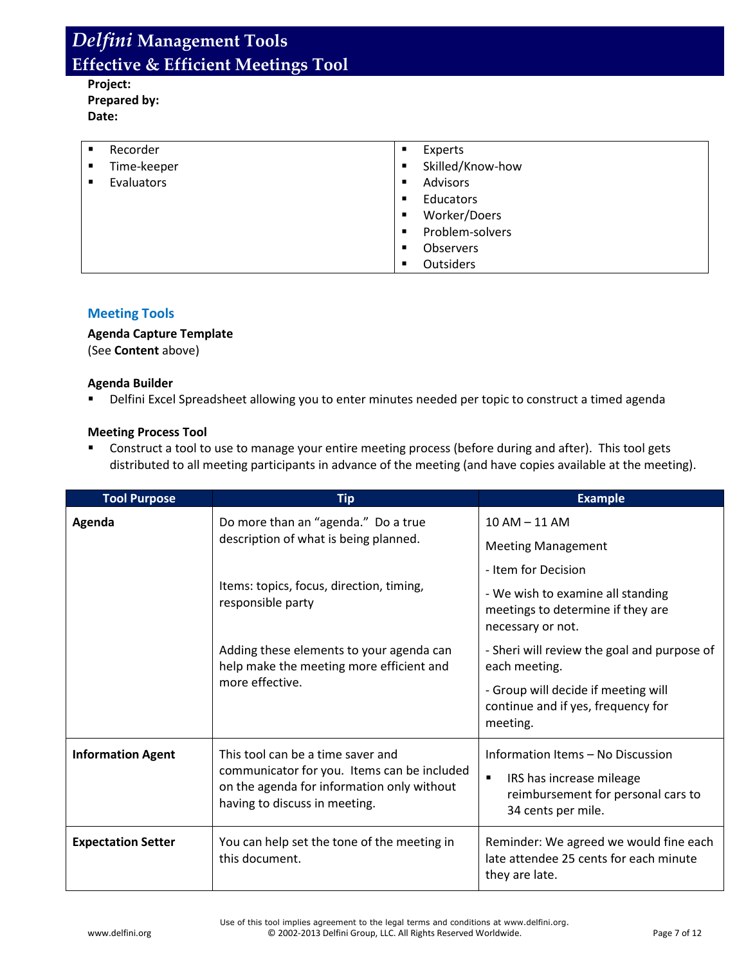**Project: Prepared by: Date:**

| ٠ | Recorder    | ٠              | Experts          |
|---|-------------|----------------|------------------|
| ٠ | Time-keeper | $\blacksquare$ | Skilled/Know-how |
| ٠ | Evaluators  | $\blacksquare$ | Advisors         |
|   |             | ٠              | Educators        |
|   |             | $\blacksquare$ | Worker/Doers     |
|   |             | $\blacksquare$ | Problem-solvers  |
|   |             | $\blacksquare$ | <b>Observers</b> |
|   |             | $\blacksquare$ | <b>Outsiders</b> |

### **Meeting Tools**

### **Agenda Capture Template**

(See **Content** above)

#### **Agenda Builder**

Delfini Excel Spreadsheet allowing you to enter minutes needed per topic to construct a timed agenda

#### **Meeting Process Tool**

 Construct a tool to use to manage your entire meeting process (before during and after). This tool gets distributed to all meeting participants in advance of the meeting (and have copies available at the meeting).

| <b>Tool Purpose</b>       | <b>Tip</b>                                                                                                                                                      | <b>Example</b>                                                                                                                              |  |  |
|---------------------------|-----------------------------------------------------------------------------------------------------------------------------------------------------------------|---------------------------------------------------------------------------------------------------------------------------------------------|--|--|
| Agenda                    | Do more than an "agenda." Do a true<br>description of what is being planned.                                                                                    | 10 AM - 11 AM<br><b>Meeting Management</b>                                                                                                  |  |  |
|                           | Items: topics, focus, direction, timing,<br>responsible party                                                                                                   | - Item for Decision<br>- We wish to examine all standing                                                                                    |  |  |
|                           |                                                                                                                                                                 | meetings to determine if they are<br>necessary or not.                                                                                      |  |  |
|                           | Adding these elements to your agenda can<br>help make the meeting more efficient and                                                                            | - Sheri will review the goal and purpose of<br>each meeting.                                                                                |  |  |
|                           | more effective.                                                                                                                                                 | - Group will decide if meeting will<br>continue and if yes, frequency for<br>meeting.                                                       |  |  |
| <b>Information Agent</b>  | This tool can be a time saver and<br>communicator for you. Items can be included<br>on the agenda for information only without<br>having to discuss in meeting. | Information Items - No Discussion<br>$\blacksquare$<br>IRS has increase mileage<br>reimbursement for personal cars to<br>34 cents per mile. |  |  |
| <b>Expectation Setter</b> | You can help set the tone of the meeting in<br>this document.                                                                                                   | Reminder: We agreed we would fine each<br>late attendee 25 cents for each minute<br>they are late.                                          |  |  |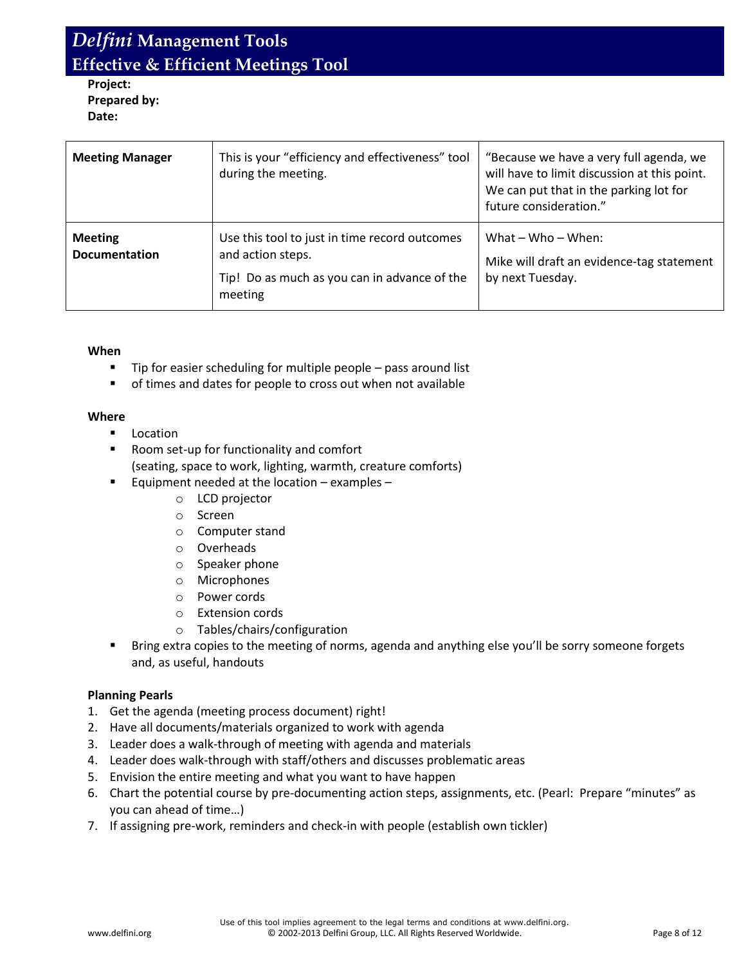**Project: Prepared by: Date:**

| <b>Meeting Manager</b>                 | This is your "efficiency and effectiveness" tool<br>during the meeting.                                                       | "Because we have a very full agenda, we<br>will have to limit discussion at this point.<br>We can put that in the parking lot for<br>future consideration." |  |  |
|----------------------------------------|-------------------------------------------------------------------------------------------------------------------------------|-------------------------------------------------------------------------------------------------------------------------------------------------------------|--|--|
| <b>Meeting</b><br><b>Documentation</b> | Use this tool to just in time record outcomes<br>and action steps.<br>Tip! Do as much as you can in advance of the<br>meeting | What $-$ Who $-$ When:<br>Mike will draft an evidence-tag statement<br>by next Tuesday.                                                                     |  |  |

#### **When**

- **Tip for easier scheduling for multiple people pass around list**
- of times and dates for people to cross out when not available

#### **Where**

- **Location**
- Room set-up for functionality and comfort (seating, space to work, lighting, warmth, creature comforts)
- Equipment needed at the location examples
	- o LCD projector
	- o Screen
	- o Computer stand
	- o Overheads
	- o Speaker phone
	- o Microphones
	- o Power cords
	- o Extension cords
	- o Tables/chairs/configuration
- **Bring extra copies to the meeting of norms, agenda and anything else you'll be sorry someone forgets** and, as useful, handouts

#### **Planning Pearls**

- 1. Get the agenda (meeting process document) right!
- 2. Have all documents/materials organized to work with agenda
- 3. Leader does a walk-through of meeting with agenda and materials
- 4. Leader does walk-through with staff/others and discusses problematic areas
- 5. Envision the entire meeting and what you want to have happen
- 6. Chart the potential course by pre-documenting action steps, assignments, etc. (Pearl: Prepare "minutes" as you can ahead of time…)
- 7. If assigning pre-work, reminders and check-in with people (establish own tickler)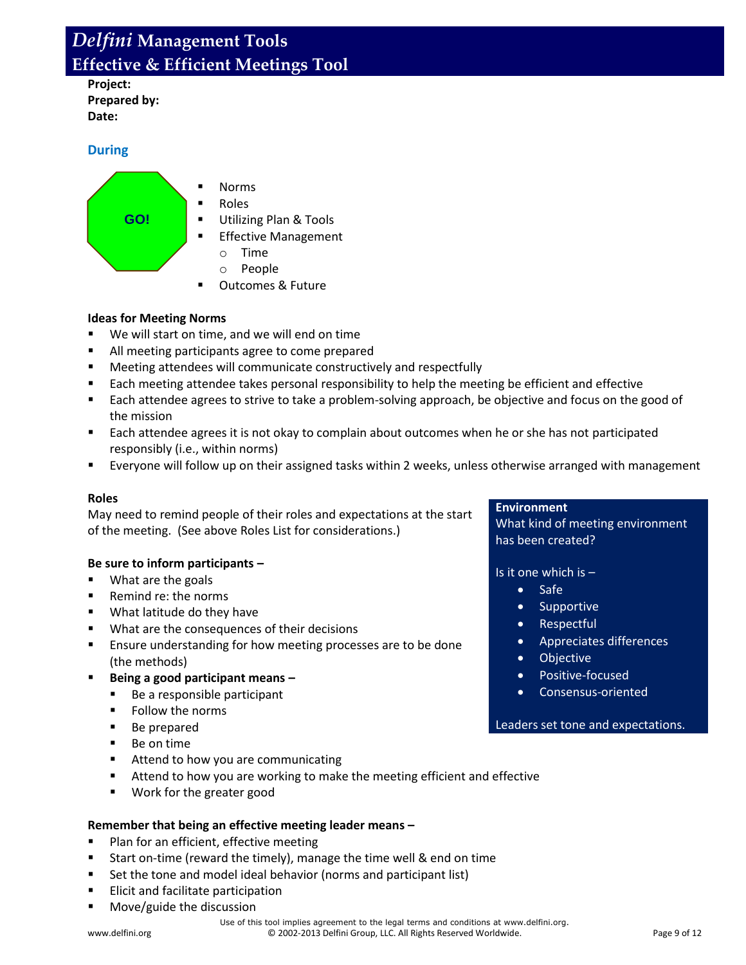**Project: Prepared by: Date:**

### **During**



#### **Ideas for Meeting Norms**

- We will start on time, and we will end on time
- All meeting participants agree to come prepared
- Meeting attendees will communicate constructively and respectfully
- **Each meeting attendee takes personal responsibility to help the meeting be efficient and effective**
- Each attendee agrees to strive to take a problem-solving approach, be objective and focus on the good of the mission
- Each attendee agrees it is not okay to complain about outcomes when he or she has not participated responsibly (i.e., within norms)
- Everyone will follow up on their assigned tasks within 2 weeks, unless otherwise arranged with management

#### **Roles**

May need to remind people of their roles and expectations at the start of the meeting. (See above Roles List for considerations.)

#### **Be sure to inform participants –**

- What are the goals
- Remind re: the norms
- **What latitude do they have**
- **What are the consequences of their decisions**
- **Ensure understanding for how meeting processes are to be done** (the methods)
- **Being a good participant means –**
	- Be a responsible participant
	- **Follow the norms**
	- Be prepared
	- Be on time
	- Attend to how you are communicating
	- **Attend to how you are working to make the meeting efficient and effective**
	- **Work for the greater good**

#### **Remember that being an effective meeting leader means –**

- Plan for an efficient, effective meeting
- **Start on-time (reward the timely), manage the time well & end on time**
- Set the tone and model ideal behavior (norms and participant list)
- **Elicit and facilitate participation**
- **Move/guide the discussion**

#### **Environment**

What kind of meeting environment has been created?

Is it one which is –

- Safe
- Supportive
- Respectful
- Appreciates differences
- Objective
- Positive-focused
- Consensus-oriented

#### Leaders set tone and expectations.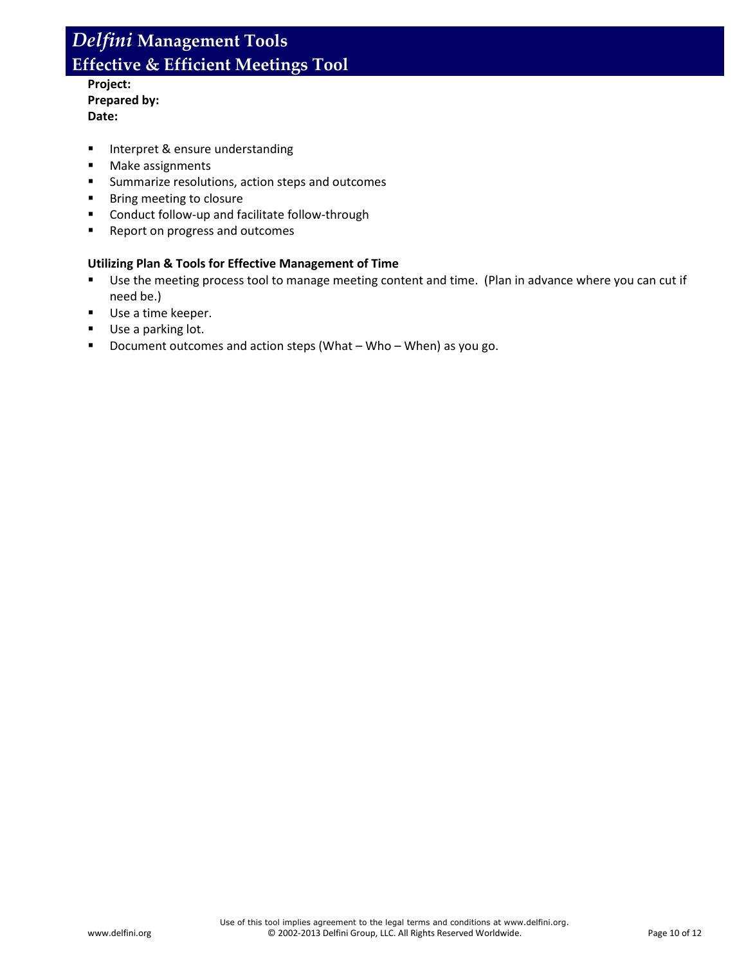- **Project: Prepared by: Date:**
- **Interpret & ensure understanding**
- **Make assignments**
- **EXECUTE:** Summarize resolutions, action steps and outcomes
- **Bring meeting to closure**
- **EXECONDUCT FOLLOW-UP and facilitate follow-through**
- **Report on progress and outcomes**

#### **Utilizing Plan & Tools for Effective Management of Time**

- Use the meeting process tool to manage meeting content and time. (Plan in advance where you can cut if need be.)
- Use a time keeper.
- Use a parking lot.
- Document outcomes and action steps (What Who When) as you go.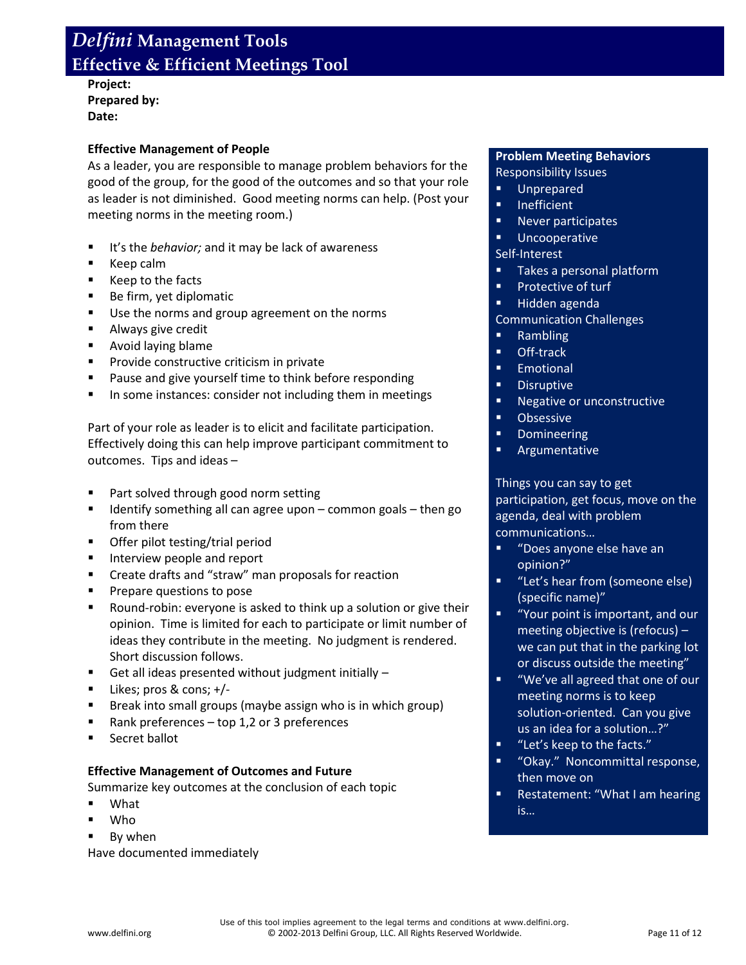**Project: Prepared by: Date:**

#### **Effective Management of People**

As a leader, you are responsible to manage problem behaviors for the good of the group, for the good of the outcomes and so that your role as leader is not diminished. Good meeting norms can help. (Post your meeting norms in the meeting room.)

- It's the *behavior;* and it may be lack of awareness
- Keep calm
- Keep to the facts
- Be firm, yet diplomatic
- Use the norms and group agreement on the norms
- **Always give credit**
- **Avoid laying blame**
- **Provide constructive criticism in private**
- **Pause and give yourself time to think before responding**
- **IF In some instances: consider not including them in meetings**

Part of your role as leader is to elicit and facilitate participation. Effectively doing this can help improve participant commitment to outcomes. Tips and ideas –

- Part solved through good norm setting
- Identify something all can agree upon common goals then go from there
- **•** Offer pilot testing/trial period
- **Interview people and report**
- **E** Create drafts and "straw" man proposals for reaction
- **Prepare questions to pose**
- Round-robin: everyone is asked to think up a solution or give their opinion. Time is limited for each to participate or limit number of ideas they contribute in the meeting. No judgment is rendered. Short discussion follows.
- Get all ideas presented without judgment initially  $-$
- $\blacksquare$  Likes; pros & cons; +/-
- **Break into small groups (maybe assign who is in which group)**
- Rank preferences top 1,2 or 3 preferences
- **Secret ballot**

#### **Effective Management of Outcomes and Future**

Summarize key outcomes at the conclusion of each topic

- What
- Who
- **By when**

Have documented immediately

#### **Problem Meeting Behaviors**

Responsibility Issues

- **Unprepared**
- **Inefficient**
- **Never participates**
- **Uncooperative**

### Self-Interest

- **Takes a personal platform**
- **Protective of turf**
- **Hidden agenda**

#### Communication Challenges

- **Rambling**
- **•** Off-track
- **Emotional**
- **Disruptive**
- **Negative or unconstructive**
- **•** Obsessive
- **•** Domineering
- **Argumentative**

Things you can say to get participation, get focus, move on the agenda, deal with problem communications…

- "Does anyone else have an opinion?"
- **"** "Let's hear from (someone else) (specific name)"
- "Your point is important, and our meeting objective is (refocus) – we can put that in the parking lot or discuss outside the meeting"
- "We've all agreed that one of our meeting norms is to keep solution-oriented. Can you give us an idea for a solution…?"
- "Let's keep to the facts."
- "Okay." Noncommittal response, then move on
- Restatement: "What I am hearing is…